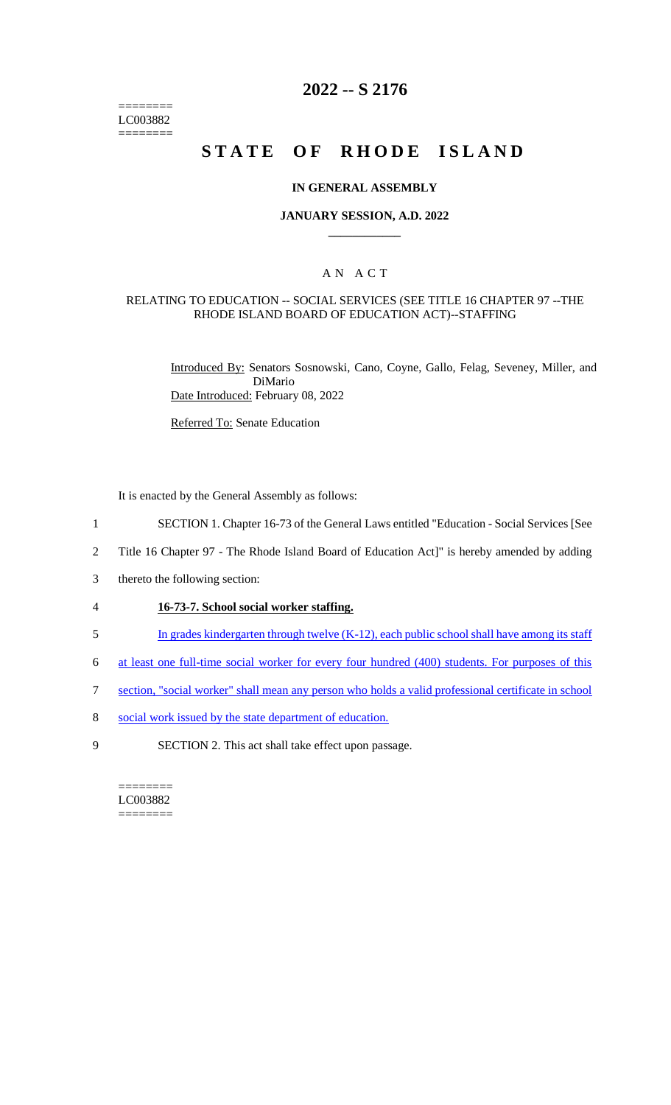======== LC003882 ========

# **2022 -- S 2176**

# **STATE OF RHODE ISLAND**

#### **IN GENERAL ASSEMBLY**

#### **JANUARY SESSION, A.D. 2022 \_\_\_\_\_\_\_\_\_\_\_\_**

## A N A C T

#### RELATING TO EDUCATION -- SOCIAL SERVICES (SEE TITLE 16 CHAPTER 97 --THE RHODE ISLAND BOARD OF EDUCATION ACT)--STAFFING

Introduced By: Senators Sosnowski, Cano, Coyne, Gallo, Felag, Seveney, Miller, and DiMario Date Introduced: February 08, 2022

Referred To: Senate Education

It is enacted by the General Assembly as follows:

- 1 SECTION 1. Chapter 16-73 of the General Laws entitled "Education Social Services [See
- 2 Title 16 Chapter 97 The Rhode Island Board of Education Act]" is hereby amended by adding
- 3 thereto the following section:
- 4 **16-73-7. School social worker staffing.**
- 5 In grades kindergarten through twelve (K-12), each public school shall have among its staff
- 6 at least one full-time social worker for every four hundred (400) students. For purposes of this
- 7 section, "social worker" shall mean any person who holds a valid professional certificate in school
- 8 social work issued by the state department of education.
- 9 SECTION 2. This act shall take effect upon passage.

======== LC003882 ========